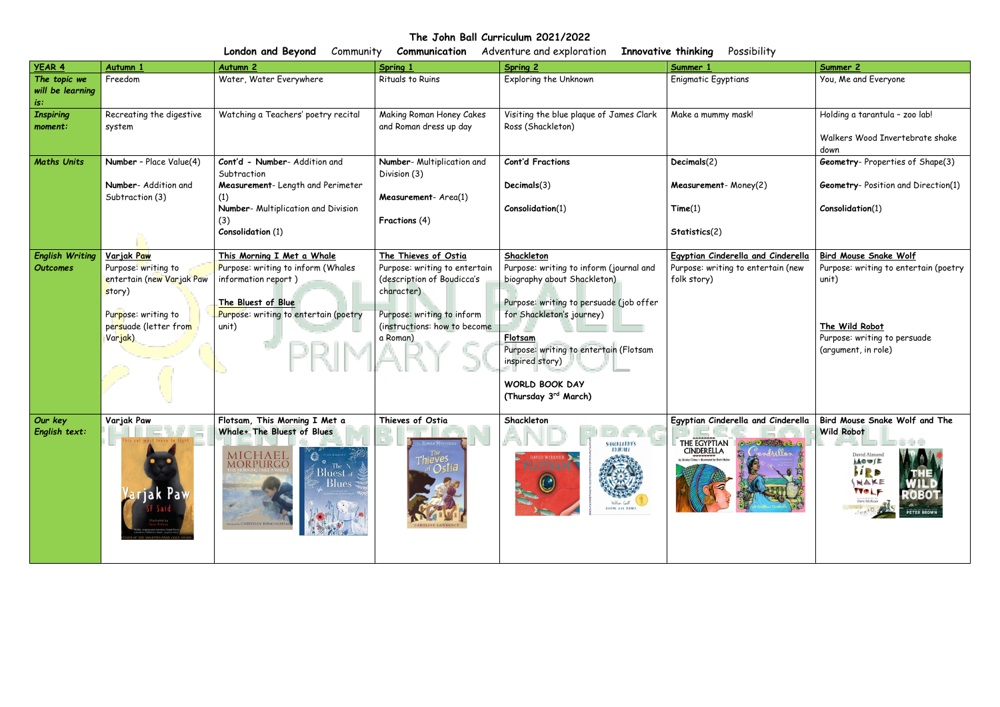**The John Ball Curriculum 2021/2022**

| London and Beyond<br>Innovative thinking<br>Possibility<br>Adventure and exploration<br>Community<br>Communication |                                                                                                                                            |                                                                                                                                                                 |                                                                                                                                                                             |                                                                                                                                                                                                                                                                                       |                                                                                                                                                   |                                                                                                                                                         |  |  |
|--------------------------------------------------------------------------------------------------------------------|--------------------------------------------------------------------------------------------------------------------------------------------|-----------------------------------------------------------------------------------------------------------------------------------------------------------------|-----------------------------------------------------------------------------------------------------------------------------------------------------------------------------|---------------------------------------------------------------------------------------------------------------------------------------------------------------------------------------------------------------------------------------------------------------------------------------|---------------------------------------------------------------------------------------------------------------------------------------------------|---------------------------------------------------------------------------------------------------------------------------------------------------------|--|--|
| <b>YEAR 4</b>                                                                                                      | Autumn :                                                                                                                                   | <b>Autumn 2</b>                                                                                                                                                 | Spring 1                                                                                                                                                                    | Spring 2                                                                                                                                                                                                                                                                              | Summer 1                                                                                                                                          | Summer 2                                                                                                                                                |  |  |
| The topic we<br>will be learning<br>is:                                                                            | Freedom                                                                                                                                    | Water, Water Everywhere                                                                                                                                         | Rituals to Ruins                                                                                                                                                            | <b>Exploring the Unknown</b>                                                                                                                                                                                                                                                          | <b>Enigmatic Egyptians</b>                                                                                                                        | You, Me and Everyone                                                                                                                                    |  |  |
| <b>Inspiring</b><br>moment:                                                                                        | Recreating the digestive<br>system                                                                                                         | Watching a Teachers' poetry recital                                                                                                                             | Making Roman Honey Cakes<br>and Roman dress up day                                                                                                                          | Visiting the blue plaque of James Clark<br>Ross (Shackleton)                                                                                                                                                                                                                          | Make a mummy mask!                                                                                                                                | Holding a tarantula - zoo lab!<br>Walkers Wood Invertebrate shake<br>down                                                                               |  |  |
| <b>Maths Units</b>                                                                                                 | Number - Place Value(4)<br>Number- Addition and<br>Subtraction (3)                                                                         | Cont'd - Number- Addition and<br>Subtraction<br>Measurement- Length and Perimeter<br>(1)<br>Number- Multiplication and Division<br>(3)<br>Consolidation (1)     | Number- Multiplication and<br>Division (3)<br>Measurement- Area(1)<br>Fractions (4)                                                                                         | <b>Cont'd Fractions</b><br>Decimals(3)<br>Consolidation(1)                                                                                                                                                                                                                            | Decimals(2)<br>Measurement-Money(2)<br>Time(1)<br>Statistics(2)                                                                                   | <b>Geometry-Properties of Shape(3)</b><br><b>Geometry-Position and Direction(1)</b><br>Consolidation(1)                                                 |  |  |
| <b>English Writing</b><br>Outcomes                                                                                 | <u>Varjak Paw</u><br>Purpose: writing to<br>entertain (new Varjak Paw<br>story)<br>Purpose: writing to<br>persuade (letter from<br>Varjak) | This Morning I Met a Whale<br>Purpose: writing to inform (Whales<br>information report)<br>The Bluest of Blue<br>Purpose: writing to entertain (poetry<br>unit) | The Thieves of Ostia<br>Purpose: writing to entertain<br>(description of Boudicca's<br>character)<br>Purpose: writing to inform<br>(instructions: how to become<br>a Roman) | Shackleton<br>Purpose: writing to inform (journal and<br>biography about Shackleton)<br>Purpose: writing to persuade (job offer<br>for Shackleton's journey)<br>Flotsam<br>Purpose: writing to entertain (Flotsam<br>inspired story)<br><b>WORLD BOOK DAY</b><br>(Thursday 3rd March) | Egyptian Cinderella and Cinderella<br>Purpose: writing to entertain (new<br>folk story)                                                           | <b>Bird Mouse Snake Wolf</b><br>Purpose: writing to entertain (poetry<br>unit)<br>The Wild Robot<br>Purpose: writing to persuade<br>(argument, in role) |  |  |
| Our key<br>English text:                                                                                           | Variak Paw<br>jak Pav                                                                                                                      | Flotsam, This Morning I Met a<br>Whale+ The Bluest of Blues<br>MICHAEL<br>Morpurgo<br>Bluest of<br>Blues<br><b>WARD CHRISTIAN BIRMINGH.</b>                     | Thieves of Ostia                                                                                                                                                            | Shackleton<br><b>SHACKLETON'S</b><br><b>JOURNEY</b><br>DAVID WIESNER<br>DTSAN<br><b>HYPIG EYE FOOKS</b>                                                                                                                                                                               | Egyptian Cinderella and Cinderella   Bird Mouse Snake Wolf and The<br>THE EGYPTIAN<br>CINDERELLA<br>by Shirtey Climo • illustrated by Ruth Heller | <b>Wild Robot</b><br>David Almon<br><b>MOWSE</b><br>HRB<br>NAKE<br><b>VYOLF</b><br><b>ROBO</b><br>Dave McKean<br>PETER BROWN                            |  |  |